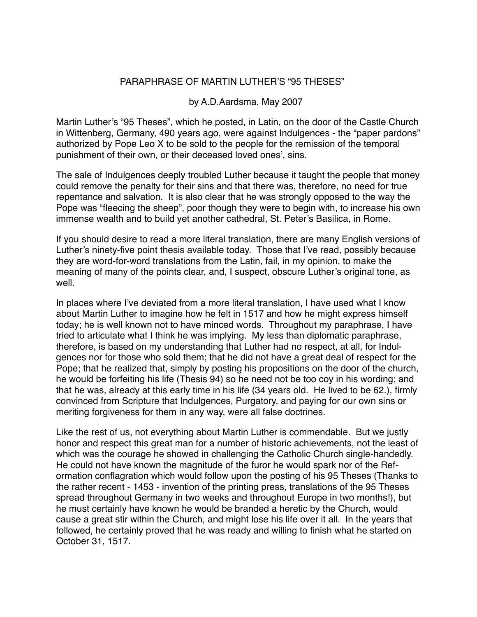#### PARAPHRASE OF MARTIN LUTHER'S "95 THESES"

#### by A.D.Aardsma, May 2007

Martin Luther's "95 Theses", which he posted, in Latin, on the door of the Castle Church in Wittenberg, Germany, 490 years ago, were against Indulgences - the "paper pardons" authorized by Pope Leo X to be sold to the people for the remission of the temporal punishment of their own, or their deceased loved ones', sins.

The sale of Indulgences deeply troubled Luther because it taught the people that money could remove the penalty for their sins and that there was, therefore, no need for true repentance and salvation. It is also clear that he was strongly opposed to the way the Pope was "fleecing the sheep", poor though they were to begin with, to increase his own immense wealth and to build yet another cathedral, St. Peter's Basilica, in Rome.

If you should desire to read a more literal translation, there are many English versions of Luther's ninety-five point thesis available today. Those that I've read, possibly because they are word-for-word translations from the Latin, fail, in my opinion, to make the meaning of many of the points clear, and, I suspect, obscure Luther's original tone, as well.

In places where I've deviated from a more literal translation, I have used what I know about Martin Luther to imagine how he felt in 1517 and how he might express himself today; he is well known not to have minced words. Throughout my paraphrase, I have tried to articulate what I think he was implying. My less than diplomatic paraphrase, therefore, is based on my understanding that Luther had no respect, at all, for Indulgences nor for those who sold them; that he did not have a great deal of respect for the Pope; that he realized that, simply by posting his propositions on the door of the church, he would be forfeiting his life (Thesis 94) so he need not be too coy in his wording; and that he was, already at this early time in his life (34 years old. He lived to be 62.), firmly convinced from Scripture that Indulgences, Purgatory, and paying for our own sins or meriting forgiveness for them in any way, were all false doctrines.

Like the rest of us, not everything about Martin Luther is commendable. But we justly honor and respect this great man for a number of historic achievements, not the least of which was the courage he showed in challenging the Catholic Church single-handedly. He could not have known the magnitude of the furor he would spark nor of the Reformation conflagration which would follow upon the posting of his 95 Theses (Thanks to the rather recent - 1453 - invention of the printing press, translations of the 95 Theses spread throughout Germany in two weeks and throughout Europe in two months!), but he must certainly have known he would be branded a heretic by the Church, would cause a great stir within the Church, and might lose his life over it all. In the years that followed, he certainly proved that he was ready and willing to finish what he started on October 31, 1517.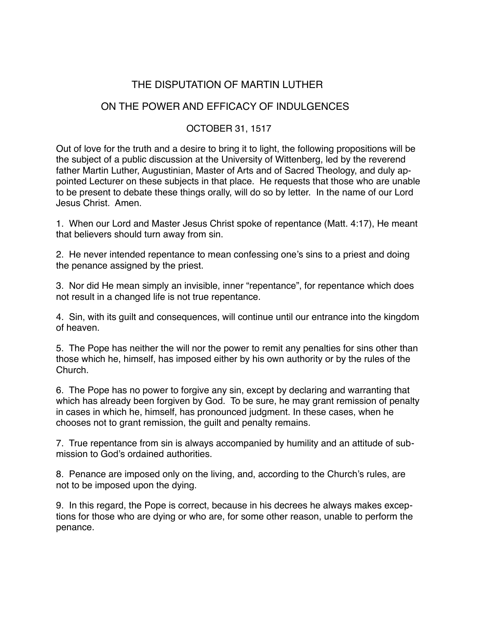# THE DISPUTATION OF MARTIN LUTHER

## ON THE POWER AND EFFICACY OF INDULGENCES

### OCTOBER 31, 1517

Out of love for the truth and a desire to bring it to light, the following propositions will be the subject of a public discussion at the University of Wittenberg, led by the reverend father Martin Luther, Augustinian, Master of Arts and of Sacred Theology, and duly appointed Lecturer on these subjects in that place. He requests that those who are unable to be present to debate these things orally, will do so by letter. In the name of our Lord Jesus Christ. Amen.

1. When our Lord and Master Jesus Christ spoke of repentance (Matt. 4:17), He meant that believers should turn away from sin.

2. He never intended repentance to mean confessing one's sins to a priest and doing the penance assigned by the priest.

3. Nor did He mean simply an invisible, inner "repentance", for repentance which does not result in a changed life is not true repentance.

4. Sin, with its guilt and consequences, will continue until our entrance into the kingdom of heaven.

5. The Pope has neither the will nor the power to remit any penalties for sins other than those which he, himself, has imposed either by his own authority or by the rules of the Church.

6. The Pope has no power to forgive any sin, except by declaring and warranting that which has already been forgiven by God. To be sure, he may grant remission of penalty in cases in which he, himself, has pronounced judgment. In these cases, when he chooses not to grant remission, the guilt and penalty remains.

7. True repentance from sin is always accompanied by humility and an attitude of submission to God's ordained authorities.

8. Penance are imposed only on the living, and, according to the Church's rules, are not to be imposed upon the dying.

9. In this regard, the Pope is correct, because in his decrees he always makes exceptions for those who are dying or who are, for some other reason, unable to perform the penance.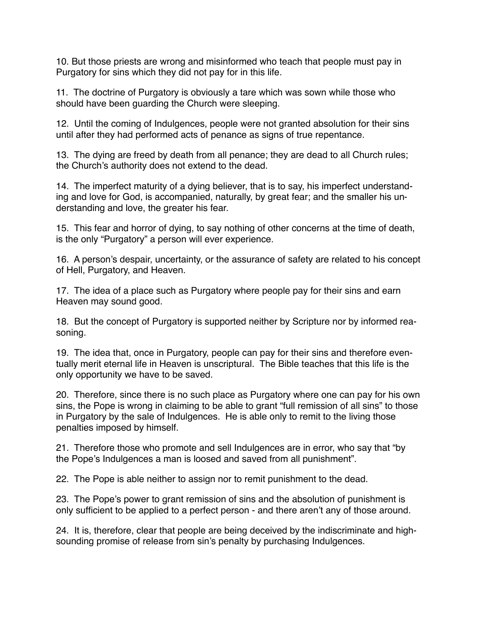10. But those priests are wrong and misinformed who teach that people must pay in Purgatory for sins which they did not pay for in this life.

11. The doctrine of Purgatory is obviously a tare which was sown while those who should have been guarding the Church were sleeping.

12. Until the coming of Indulgences, people were not granted absolution for their sins until after they had performed acts of penance as signs of true repentance.

13. The dying are freed by death from all penance; they are dead to all Church rules; the Church's authority does not extend to the dead.

14. The imperfect maturity of a dying believer, that is to say, his imperfect understanding and love for God, is accompanied, naturally, by great fear; and the smaller his understanding and love, the greater his fear.

15. This fear and horror of dying, to say nothing of other concerns at the time of death, is the only "Purgatory" a person will ever experience.

16. A person's despair, uncertainty, or the assurance of safety are related to his concept of Hell, Purgatory, and Heaven.

17. The idea of a place such as Purgatory where people pay for their sins and earn Heaven may sound good.

18. But the concept of Purgatory is supported neither by Scripture nor by informed reasoning.

19. The idea that, once in Purgatory, people can pay for their sins and therefore eventually merit eternal life in Heaven is unscriptural. The Bible teaches that this life is the only opportunity we have to be saved.

20. Therefore, since there is no such place as Purgatory where one can pay for his own sins, the Pope is wrong in claiming to be able to grant "full remission of all sins" to those in Purgatory by the sale of Indulgences. He is able only to remit to the living those penalties imposed by himself.

21. Therefore those who promote and sell Indulgences are in error, who say that "by the Pope's Indulgences a man is loosed and saved from all punishment".

22. The Pope is able neither to assign nor to remit punishment to the dead.

23. The Pope's power to grant remission of sins and the absolution of punishment is only sufficient to be applied to a perfect person - and there aren't any of those around.

24. It is, therefore, clear that people are being deceived by the indiscriminate and highsounding promise of release from sin's penalty by purchasing Indulgences.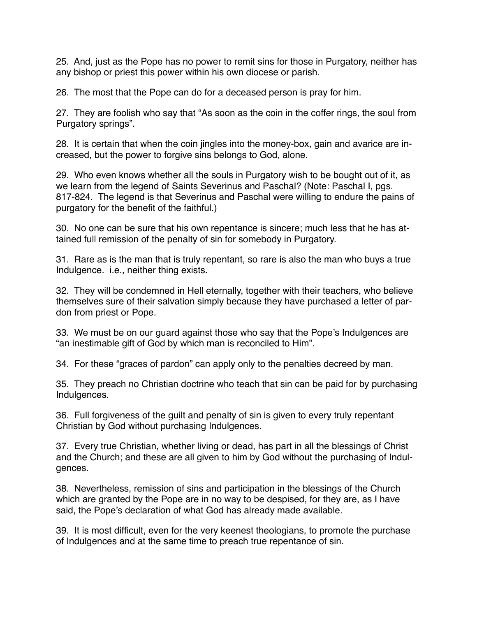25. And, just as the Pope has no power to remit sins for those in Purgatory, neither has any bishop or priest this power within his own diocese or parish.

26. The most that the Pope can do for a deceased person is pray for him.

27. They are foolish who say that "As soon as the coin in the coffer rings, the soul from Purgatory springs".

28. It is certain that when the coin jingles into the money-box, gain and avarice are increased, but the power to forgive sins belongs to God, alone.

29. Who even knows whether all the souls in Purgatory wish to be bought out of it, as we learn from the legend of Saints Severinus and Paschal? (Note: Paschal I, pgs. 817-824. The legend is that Severinus and Paschal were willing to endure the pains of purgatory for the benefit of the faithful.)

30. No one can be sure that his own repentance is sincere; much less that he has attained full remission of the penalty of sin for somebody in Purgatory.

31. Rare as is the man that is truly repentant, so rare is also the man who buys a true Indulgence. i.e., neither thing exists.

32. They will be condemned in Hell eternally, together with their teachers, who believe themselves sure of their salvation simply because they have purchased a letter of pardon from priest or Pope.

33. We must be on our guard against those who say that the Pope's Indulgences are "an inestimable gift of God by which man is reconciled to Him".

34. For these "graces of pardon" can apply only to the penalties decreed by man.

35. They preach no Christian doctrine who teach that sin can be paid for by purchasing Indulgences.

36. Full forgiveness of the guilt and penalty of sin is given to every truly repentant Christian by God without purchasing Indulgences.

37. Every true Christian, whether living or dead, has part in all the blessings of Christ and the Church; and these are all given to him by God without the purchasing of Indulgences.

38. Nevertheless, remission of sins and participation in the blessings of the Church which are granted by the Pope are in no way to be despised, for they are, as I have said, the Pope's declaration of what God has already made available.

39. It is most difficult, even for the very keenest theologians, to promote the purchase of Indulgences and at the same time to preach true repentance of sin.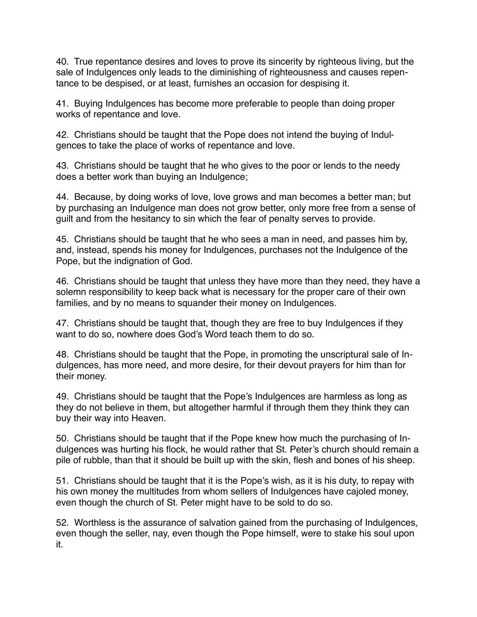40. True repentance desires and loves to prove its sincerity by righteous living, but the sale of Indulgences only leads to the diminishing of righteousness and causes repentance to be despised, or at least, furnishes an occasion for despising it.

41. Buying Indulgences has become more preferable to people than doing proper works of repentance and love.

42. Christians should be taught that the Pope does not intend the buying of Indulgences to take the place of works of repentance and love.

43. Christians should be taught that he who gives to the poor or lends to the needy does a better work than buying an Indulgence;

44. Because, by doing works of love, love grows and man becomes a better man; but by purchasing an Indulgence man does not grow better, only more free from a sense of guilt and from the hesitancy to sin which the fear of penalty serves to provide.

45. Christians should be taught that he who sees a man in need, and passes him by, and, instead, spends his money for Indulgences, purchases not the Indulgence of the Pope, but the indignation of God.

46. Christians should be taught that unless they have more than they need, they have a solemn responsibility to keep back what is necessary for the proper care of their own families, and by no means to squander their money on Indulgences.

47. Christians should be taught that, though they are free to buy Indulgences if they want to do so, nowhere does God's Word teach them to do so.

48. Christians should be taught that the Pope, in promoting the unscriptural sale of Indulgences, has more need, and more desire, for their devout prayers for him than for their money.

49. Christians should be taught that the Pope's Indulgences are harmless as long as they do not believe in them, but altogether harmful if through them they think they can buy their way into Heaven.

50. Christians should be taught that if the Pope knew how much the purchasing of Indulgences was hurting his flock, he would rather that St. Peter's church should remain a pile of rubble, than that it should be built up with the skin, flesh and bones of his sheep.

51. Christians should be taught that it is the Pope's wish, as it is his duty, to repay with his own money the multitudes from whom sellers of Indulgences have cajoled money, even though the church of St. Peter might have to be sold to do so.

52. Worthless is the assurance of salvation gained from the purchasing of Indulgences, even though the seller, nay, even though the Pope himself, were to stake his soul upon it.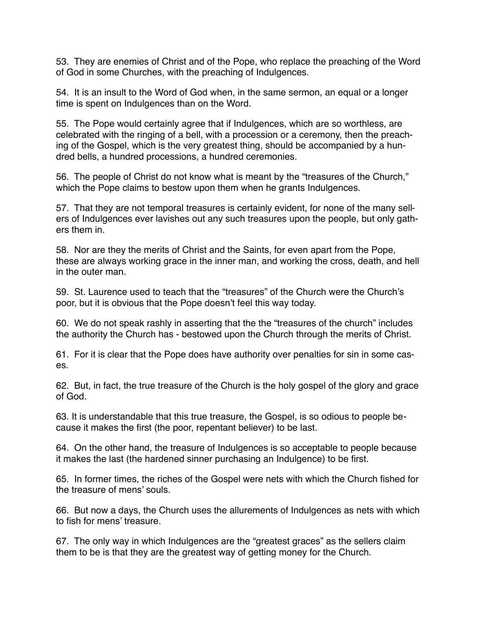53. They are enemies of Christ and of the Pope, who replace the preaching of the Word of God in some Churches, with the preaching of Indulgences.

54. It is an insult to the Word of God when, in the same sermon, an equal or a longer time is spent on Indulgences than on the Word.

55. The Pope would certainly agree that if Indulgences, which are so worthless, are celebrated with the ringing of a bell, with a procession or a ceremony, then the preaching of the Gospel, which is the very greatest thing, should be accompanied by a hundred bells, a hundred processions, a hundred ceremonies.

56. The people of Christ do not know what is meant by the "treasures of the Church," which the Pope claims to bestow upon them when he grants Indulgences.

57. That they are not temporal treasures is certainly evident, for none of the many sellers of Indulgences ever lavishes out any such treasures upon the people, but only gathers them in.

58. Nor are they the merits of Christ and the Saints, for even apart from the Pope, these are always working grace in the inner man, and working the cross, death, and hell in the outer man.

59. St. Laurence used to teach that the "treasures" of the Church were the Church's poor, but it is obvious that the Pope doesn't feel this way today.

60. We do not speak rashly in asserting that the the "treasures of the church" includes the authority the Church has - bestowed upon the Church through the merits of Christ.

61. For it is clear that the Pope does have authority over penalties for sin in some cases.

62. But, in fact, the true treasure of the Church is the holy gospel of the glory and grace of God.

63. It is understandable that this true treasure, the Gospel, is so odious to people because it makes the first (the poor, repentant believer) to be last.

64. On the other hand, the treasure of Indulgences is so acceptable to people because it makes the last (the hardened sinner purchasing an Indulgence) to be first.

65. In former times, the riches of the Gospel were nets with which the Church fished for the treasure of mens' souls.

66. But now a days, the Church uses the allurements of Indulgences as nets with which to fish for mens' treasure.

67. The only way in which Indulgences are the "greatest graces" as the sellers claim them to be is that they are the greatest way of getting money for the Church.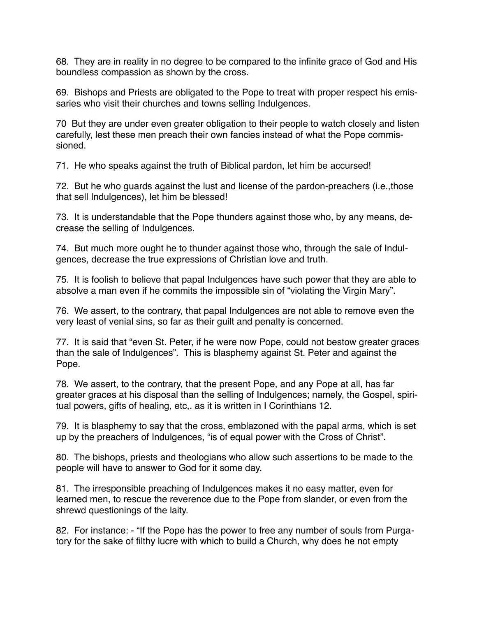68. They are in reality in no degree to be compared to the infinite grace of God and His boundless compassion as shown by the cross.

69. Bishops and Priests are obligated to the Pope to treat with proper respect his emissaries who visit their churches and towns selling Indulgences.

70 But they are under even greater obligation to their people to watch closely and listen carefully, lest these men preach their own fancies instead of what the Pope commissioned.

71. He who speaks against the truth of Biblical pardon, let him be accursed!

72. But he who guards against the lust and license of the pardon-preachers (i.e.,those that sell Indulgences), let him be blessed!

73. It is understandable that the Pope thunders against those who, by any means, decrease the selling of Indulgences.

74. But much more ought he to thunder against those who, through the sale of Indulgences, decrease the true expressions of Christian love and truth.

75. It is foolish to believe that papal Indulgences have such power that they are able to absolve a man even if he commits the impossible sin of "violating the Virgin Mary".

76. We assert, to the contrary, that papal Indulgences are not able to remove even the very least of venial sins, so far as their guilt and penalty is concerned.

77. It is said that "even St. Peter, if he were now Pope, could not bestow greater graces than the sale of Indulgences". This is blasphemy against St. Peter and against the Pope.

78. We assert, to the contrary, that the present Pope, and any Pope at all, has far greater graces at his disposal than the selling of Indulgences; namely, the Gospel, spiritual powers, gifts of healing, etc,. as it is written in I Corinthians 12.

79. It is blasphemy to say that the cross, emblazoned with the papal arms, which is set up by the preachers of Indulgences, "is of equal power with the Cross of Christ".

80. The bishops, priests and theologians who allow such assertions to be made to the people will have to answer to God for it some day.

81. The irresponsible preaching of Indulgences makes it no easy matter, even for learned men, to rescue the reverence due to the Pope from slander, or even from the shrewd questionings of the laity.

82. For instance: - "If the Pope has the power to free any number of souls from Purgatory for the sake of filthy lucre with which to build a Church, why does he not empty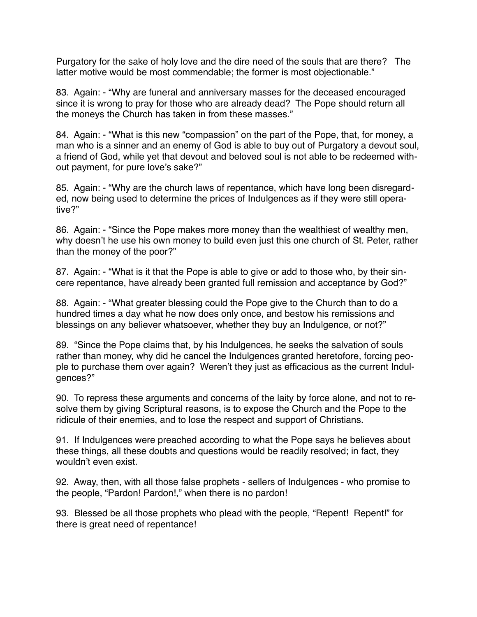Purgatory for the sake of holy love and the dire need of the souls that are there? The latter motive would be most commendable; the former is most objectionable."

83. Again: - "Why are funeral and anniversary masses for the deceased encouraged since it is wrong to pray for those who are already dead? The Pope should return all the moneys the Church has taken in from these masses."

84. Again: - "What is this new "compassion" on the part of the Pope, that, for money, a man who is a sinner and an enemy of God is able to buy out of Purgatory a devout soul, a friend of God, while yet that devout and beloved soul is not able to be redeemed without payment, for pure love's sake?"

85. Again: - "Why are the church laws of repentance, which have long been disregarded, now being used to determine the prices of Indulgences as if they were still operative?"

86. Again: - "Since the Pope makes more money than the wealthiest of wealthy men, why doesn't he use his own money to build even just this one church of St. Peter, rather than the money of the poor?"

87. Again: - "What is it that the Pope is able to give or add to those who, by their sincere repentance, have already been granted full remission and acceptance by God?"

88. Again: - "What greater blessing could the Pope give to the Church than to do a hundred times a day what he now does only once, and bestow his remissions and blessings on any believer whatsoever, whether they buy an Indulgence, or not?"

89. "Since the Pope claims that, by his Indulgences, he seeks the salvation of souls rather than money, why did he cancel the Indulgences granted heretofore, forcing people to purchase them over again? Weren't they just as efficacious as the current Indulgences?"

90. To repress these arguments and concerns of the laity by force alone, and not to resolve them by giving Scriptural reasons, is to expose the Church and the Pope to the ridicule of their enemies, and to lose the respect and support of Christians.

91. If Indulgences were preached according to what the Pope says he believes about these things, all these doubts and questions would be readily resolved; in fact, they wouldn't even exist.

92. Away, then, with all those false prophets - sellers of Indulgences - who promise to the people, "Pardon! Pardon!," when there is no pardon!

93. Blessed be all those prophets who plead with the people, "Repent! Repent!" for there is great need of repentance!